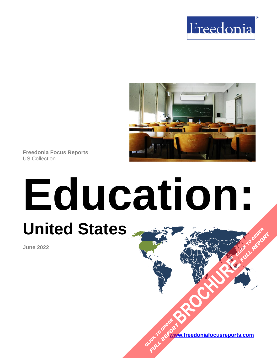



**Freedonia Focus Reports** US Collection

# **Education: United States [BROCHURE](https://www.freedoniafocusreports.com/Education-United-States-FF95060/?progid=89541) CLICK TO ORDER FULL REPORT**

**June 2022**

**[www.freedoniafocusreports.com](https://www.freedoniafocusreports.com/redirect.asp?progid=89534&url=/)** CLICK TO ORDER **FULL REPORT**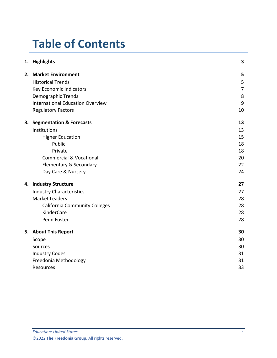# **Table of Contents**

|    | 1. Highlights                           | 3  |
|----|-----------------------------------------|----|
|    | 2. Market Environment                   | 5  |
|    | <b>Historical Trends</b>                | 5  |
|    | Key Economic Indicators                 | 7  |
|    | Demographic Trends                      | 8  |
|    | <b>International Education Overview</b> | 9  |
|    | <b>Regulatory Factors</b>               | 10 |
| 3. | <b>Segmentation &amp; Forecasts</b>     | 13 |
|    | Institutions                            | 13 |
|    | <b>Higher Education</b>                 | 15 |
|    | Public                                  | 18 |
|    | Private                                 | 18 |
|    | <b>Commercial &amp; Vocational</b>      | 20 |
|    | <b>Elementary &amp; Secondary</b>       | 22 |
|    | Day Care & Nursery                      | 24 |
|    | 4. Industry Structure                   | 27 |
|    | <b>Industry Characteristics</b>         | 27 |
|    | <b>Market Leaders</b>                   | 28 |
|    | <b>California Community Colleges</b>    | 28 |
|    | KinderCare                              | 28 |
|    | Penn Foster                             | 28 |
|    | 5. About This Report                    | 30 |
|    | Scope                                   | 30 |
|    | Sources                                 | 30 |
|    | <b>Industry Codes</b>                   | 31 |
|    | Freedonia Methodology                   | 31 |
|    | Resources                               | 33 |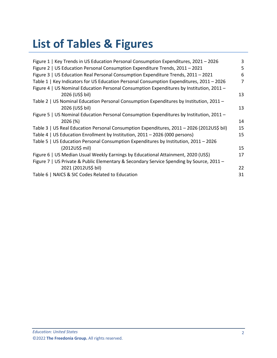# **List of Tables & Figures**

| Figure 1   Key Trends in US Education Personal Consumption Expenditures, 2021 - 2026      | 3  |
|-------------------------------------------------------------------------------------------|----|
| Figure 2   US Education Personal Consumption Expenditure Trends, 2011 - 2021              | 5  |
| Figure 3   US Education Real Personal Consumption Expenditure Trends, 2011 - 2021         | 6  |
| Table 1   Key Indicators for US Education Personal Consumption Expenditures, 2011 - 2026  | 7  |
| Figure 4   US Nominal Education Personal Consumption Expenditures by Institution, 2011 -  |    |
| 2026 (US\$ bil)                                                                           | 13 |
| Table 2   US Nominal Education Personal Consumption Expenditures by Institution, 2011 -   |    |
| 2026 (US\$ bil)                                                                           | 13 |
| Figure 5   US Nominal Education Personal Consumption Expenditures by Institution, 2011 -  |    |
| 2026 (%)                                                                                  | 14 |
| Table 3   US Real Education Personal Consumption Expenditures, 2011 - 2026 (2012US\$ bil) | 15 |
| Table 4   US Education Enrollment by Institution, 2011 - 2026 (000 persons)               | 15 |
| Table 5   US Education Personal Consumption Expenditures by Institution, 2011 - 2026      |    |
| $(2012US\$ mil)                                                                           | 15 |
| Figure 6   US Median Usual Weekly Earnings by Educational Attainment, 2020 (US\$)         | 17 |
| Figure 7   US Private & Public Elementary & Secondary Service Spending by Source, 2011 -  |    |
| 2021 (2012US\$ bil)                                                                       | 22 |
| Table 6   NAICS & SIC Codes Related to Education                                          | 31 |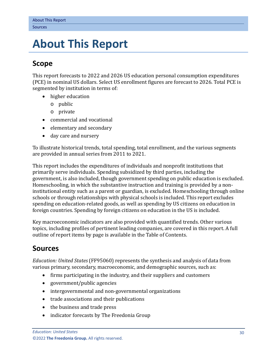# <span id="page-3-0"></span>**5. About This Report**

# <span id="page-3-1"></span>**Scope**

This report forecasts to 2022 and 2026 US education personal consumption expenditures (PCE) in nominal US dollars. Select US enrollment figures are forecast to 2026. Total PCE is segmented by institution in terms of:

- higher education
	- o public
	- o private
- commercial and vocational
- elementary and secondary
- day care and nursery

To illustrate historical trends, total spending, total enrollment, and the various segments are provided in annual series from 2011 to 2021.

This report includes the expenditures of individuals and nonprofit institutions that primarily serve individuals. Spending subsidized by third parties, including the government, is also included, though government spending on public education is excluded. Homeschooling, in which the substantive instruction and training is provided by a noninstitutional entity such as a parent or guardian, is excluded. Homeschooling through online schools or through relationships with physical schools is included. This report excludes spending on education-related goods, as well as spending by US citizens on education in foreign countries. Spending by foreign citizens on education in the US is included.

Key macroeconomic indicators are also provided with quantified trends. Other various topics, including profiles of pertinent leading companies, are covered in this report. A full outline of report items by page is available in the Table of Contents.

# <span id="page-3-2"></span>**Sources**

*Education: United States* (FF95060) represents the synthesis and analysis of data from various primary, secondary, macroeconomic, and demographic sources, such as:

- firms participating in the industry, and their suppliers and customers
- government/public agencies
- intergovernmental and non-governmental organizations
- trade associations and their publications
- the business and trade press
- indicator forecasts by The Freedonia Group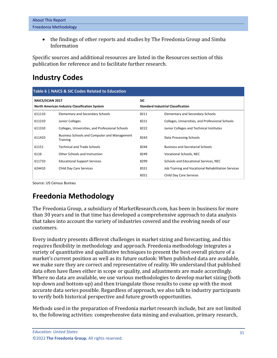• the findings of other reports and studies by The Freedonia Group and Simba Information

Specific sources and additional resources are listed in the Resources section of this publication for reference and to facilitate further research.

# <span id="page-4-0"></span>**Industry Codes**

<span id="page-4-2"></span>

| Table 6   NAICS & SIC Codes Related to Education |                                                                 |                                           |                                                     |  |  |  |
|--------------------------------------------------|-----------------------------------------------------------------|-------------------------------------------|-----------------------------------------------------|--|--|--|
| NAICS/SCIAN 2017                                 |                                                                 | <b>SIC</b>                                |                                                     |  |  |  |
| North American Industry Classification System    |                                                                 | <b>Standard Industrial Classification</b> |                                                     |  |  |  |
| 611110                                           | <b>Elementary and Secondary Schools</b>                         | 8211                                      | Elementary and Secondary Schools                    |  |  |  |
| 611210                                           | Junior Colleges                                                 | 8221                                      | Colleges, Universities, and Professional Schools    |  |  |  |
| 611310                                           | Colleges, Universities, and Professional Schools                | 8222                                      | Junior Colleges and Technical Institutes            |  |  |  |
| 611410                                           | <b>Business Schools and Computer and Management</b><br>Training | 8243                                      | Data Processing Schools                             |  |  |  |
| 61151                                            | <b>Technical and Trade Schools</b>                              | 8244                                      | <b>Business and Secretarial Schools</b>             |  |  |  |
| 6116                                             | Other Schools and Instruction                                   | 8249                                      | <b>Vocational Schools, NEC</b>                      |  |  |  |
| 611710                                           | <b>Educational Support Services</b>                             | 8299                                      | Schools and Educational Services, NEC               |  |  |  |
| 624410                                           | Child Day Care Services                                         | 8331                                      | Job Training and Vocational Rehabilitation Services |  |  |  |
|                                                  |                                                                 | 8351                                      | <b>Child Day Care Services</b>                      |  |  |  |

Source: US Census Bureau

# <span id="page-4-1"></span>**Freedonia Methodology**

The Freedonia Group, a subsidiary of MarketResearch.com, has been in business for more than 30 years and in that time has developed a comprehensive approach to data analysis that takes into account the variety of industries covered and the evolving needs of our customers.

Every industry presents different challenges in market sizing and forecasting, and this requires flexibility in methodology and approach. Freedonia methodology integrates a variety of quantitative and qualitative techniques to present the best overall picture of a market's current position as well as its future outlook: When published data are available, we make sure they are correct and representative of reality. We understand that published data often have flaws either in scope or quality, and adjustments are made accordingly. Where no data are available, we use various methodologies to develop market sizing (both top-down and bottom-up) and then triangulate those results to come up with the most accurate data series possible. Regardless of approach, we also talk to industry participants to verify both historical perspective and future growth opportunities.

Methods used in the preparation of Freedonia market research include, but are not limited to, the following activities: comprehensive data mining and evaluation, primary research,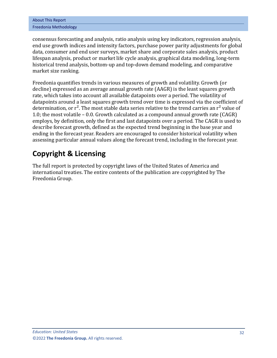| <b>About This Report</b> |
|--------------------------|
| Freedonia Methodology    |

consensus forecasting and analysis, ratio analysis using key indicators, regression analysis, end use growth indices and intensity factors, purchase power parity adjustments for global data, consumer and end user surveys, market share and corporate sales analysis, product lifespan analysis, product or market life cycle analysis, graphical data modeling, long-term historical trend analysis, bottom-up and top-down demand modeling, and comparative market size ranking.

Freedonia quantifies trends in various measures of growth and volatility. Growth (or decline) expressed as an average annual growth rate (AAGR) is the least squares growth rate, which takes into account all available datapoints over a period. The volatility of datapoints around a least squares growth trend over time is expressed via the coefficient of determination, or  $r^2$ . The most stable data series relative to the trend carries an  $r^2$  value of 1.0; the most volatile – 0.0. Growth calculated as a compound annual growth rate (CAGR) employs, by definition, only the first and last datapoints over a period. The CAGR is used to describe forecast growth, defined as the expected trend beginning in the base year and ending in the forecast year. Readers are encouraged to consider historical volatility when assessing particular annual values along the forecast trend, including in the forecast year.

# **Copyright & Licensing**

The full report is protected by copyright laws of the United States of America and international treaties. The entire contents of the publication are copyrighted by The Freedonia Group.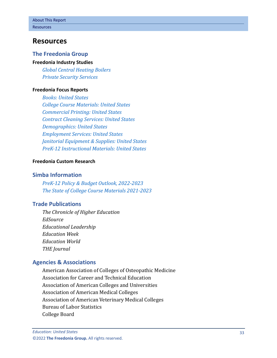## <span id="page-6-0"></span>**Resources**

## **The Freedonia Group**

#### **[Freedonia Industry Studies](http://www.freedoniagroup.com/Home.aspx?ReferrerId=FL-Focus)**

*[Global Central Heating Boilers](http://www.freedoniagroup.com/DocumentDetails.aspx?ReferrerId=FL-FOCUS&studyid=4117) [Private Security Services](http://www.freedoniagroup.com/DocumentDetails.aspx?ReferrerId=FL-FOCUS&studyid=3764)*

#### **[Freedonia Focus Reports](https://www.freedoniafocusreports.com/redirect.asp?progid=89534&url=/)**

*[Books: United States](https://www.freedoniafocusreports.com/Books-United-States-FF25010/?progid=89534) [College Course Materials: United States](https://www.freedoniafocusreports.com/College-Course-Materials-United-States-FF25021/?progid=89534) [Commercial Printing: United States](https://www.freedoniafocusreports.com/Commercial-Printing-United-States-FF25012/?progid=89534) [Contract Cleaning Services: United States](https://www.freedoniafocusreports.com/Contract-Cleaning-Services-United-States-FF95021/?progid=89534) [Demographics: United States](https://www.freedoniafocusreports.com/Demographics-United-States-FF95050/?progid=89534) [Employment Services: United States](https://www.freedoniafocusreports.com/Employment-Services-United-States-FF95011/?progid=89534) [Janitorial Equipment & Supplies: United States](https://www.freedoniafocusreports.com/Janitorial-Equipment-Supplies-United-States-FF90012/?progid=89534) [PreK-12 Instructional Materials: United States](https://www.freedoniafocusreports.com/PreK-12-Instructional-Materials-United-States-FF25020/?progid=89534)*

#### **[Freedonia Custom Research](http://www.freedoniagroup.com/CustomResearch.aspx?ReferrerId=FL-Focus)**

#### **Simba Information**

*[PreK-12 Policy & Budget Outlook, 2022-2023](https://www.simbainformation.com/PreK-Policy-Budget-Outlook-31435465/?progid=89534) [The State of College Course Materials 2021-2023](https://www.simbainformation.com/State-College-Course-Materials-30461068/?progid=89534)*

## **Trade Publications**

*The Chronicle of Higher Education EdSource Educational Leadership Education Week Education World THE Journal* 

## **Agencies & Associations**

American Association of Colleges of Osteopathic Medicine Association for Career and Technical Education Association of American Colleges and Universities Association of American Medical Colleges Association of American Veterinary Medical Colleges Bureau of Labor Statistics College Board